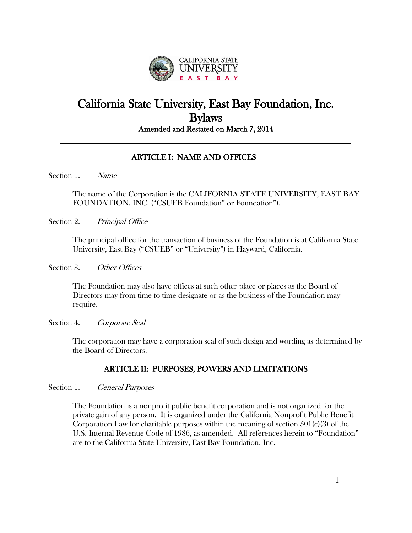

# California State University, East Bay Foundation, Inc. Bylaws Amended and Restated on March 7, 2014

# ARTICLE I: NAME AND OFFICES

Section 1. Name

The name of the Corporation is the CALIFORNIA STATE UNIVERSITY, EAST BAY FOUNDATION, INC. ("CSUEB Foundation" or Foundation").

Section 2. Principal Office

The principal office for the transaction of business of the Foundation is at California State University, East Bay ("CSUEB" or "University") in Hayward, California.

Section 3. Other Offices

The Foundation may also have offices at such other place or places as the Board of Directors may from time to time designate or as the business of the Foundation may require.

Section 4. Corporate Seal

The corporation may have a corporation seal of such design and wording as determined by the Board of Directors.

# ARTICLE II: PURPOSES, POWERS AND LIMITATIONS

Section 1. General Purposes

The Foundation is a nonprofit public benefit corporation and is not organized for the private gain of any person. It is organized under the California Nonprofit Public Benefit Corporation Law for charitable purposes within the meaning of section  $501(c)(3)$  of the U.S. Internal Revenue Code of 1986, as amended. All references herein to "Foundation" are to the California State University, East Bay Foundation, Inc.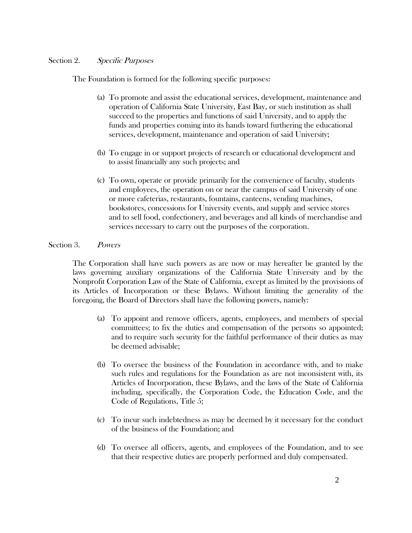# Section 2. Specific Purposes

The Foundation is formed for the following specific purposes:

- (a) To promote and assist the educational services, development, maintenance and operation of California State University, East Bay, or such institution as shall succeed to the properties and functions of said University, and to apply the funds and properties coming into its hands toward furthering the educational services, development, maintenance and operation of said University;
- (b) To engage in or support projects of research or educational development and to assist financially any such projects; and
- (c) To own, operate or provide primarily for the convenience of faculty, students and employees, the operation on or near the campus of said University of one or more cafeterias, restaurants, fountains, canteens, vending machines, bookstores, concessions for University events, and supply and service stores and to sell food, confectionery, and beverages and all kinds of merchandise and services necessary to carry out the purposes of the corporation.

# Section 3. Powers

The Corporation shall have such powers as are now or may hereafter be granted by the laws governing auxiliary organizations of the California State University and by the Nonprofit Corporation Law of the State of California, except as limited by the provisions of its Articles of Incorporation or these Bylaws. Without limiting the generality of the foregoing, the Board of Directors shall have the following powers, namely:

- (a) To appoint and remove officers, agents, employees, and members of special committees; to fix the duties and compensation of the persons so appointed; and to require such security for the faithful performance of their duties as may be deemed advisable;
- (b) To oversee the business of the Foundation in accordance with, and to make such rules and regulations for the Foundation as are not inconsistent with, its Articles of Incorporation, these Bylaws, and the laws of the State of California including, specifically, the Corporation Code, the Education Code, and the Code of Regulations, Title 5;
- (c) To incur such indebtedness as may be deemed by it necessary for the conduct of the business of the Foundation; and
- (d) To oversee all officers, agents, and employees of the Foundation, and to see that their respective duties are properly performed and duly compensated.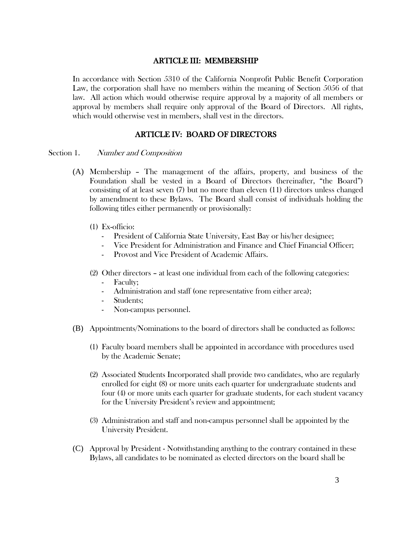#### ARTICLE III: MEMBERSHIP

In accordance with Section 5310 of the California Nonprofit Public Benefit Corporation Law, the corporation shall have no members within the meaning of Section 5056 of that law. All action which would otherwise require approval by a majority of all members or approval by members shall require only approval of the Board of Directors. All rights, which would otherwise vest in members, shall vest in the directors.

# ARTICLE IV: BOARD OF DIRECTORS

#### Section 1. Number and Composition

- (A) Membership The management of the affairs, property, and business of the Foundation shall be vested in a Board of Directors (hereinafter, "the Board") consisting of at least seven (7) but no more than eleven (11) directors unless changed by amendment to these Bylaws. The Board shall consist of individuals holding the following titles either permanently or provisionally:
	- (1) Ex-officio:
		- President of California State University, East Bay or his/her designee;
		- Vice President for Administration and Finance and Chief Financial Officer;
		- Provost and Vice President of Academic Affairs.
	- (2) Other directors at least one individual from each of the following categories:
		- Faculty;
		- Administration and staff (one representative from either area);
		- Students:
		- Non-campus personnel.
- (B) Appointments/Nominations to the board of directors shall be conducted as follows:
	- (1) Faculty board members shall be appointed in accordance with procedures used by the Academic Senate;
	- (2) Associated Students Incorporated shall provide two candidates, who are regularly enrolled for eight (8) or more units each quarter for undergraduate students and four (4) or more units each quarter for graduate students, for each student vacancy for the University President's review and appointment;
	- (3) Administration and staff and non-campus personnel shall be appointed by the University President.
- (C) Approval by President Notwithstanding anything to the contrary contained in these Bylaws, all candidates to be nominated as elected directors on the board shall be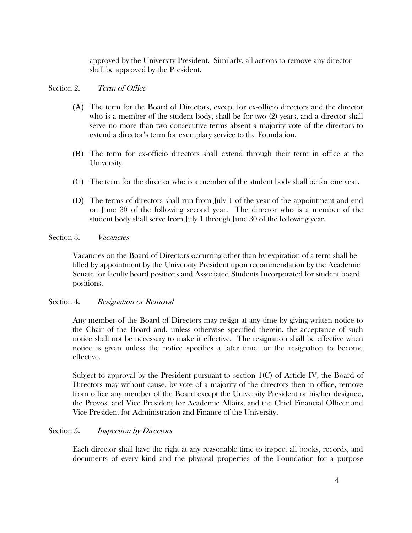approved by the University President. Similarly, all actions to remove any director shall be approved by the President.

# Section 2. Term of Office

- (A) The term for the Board of Directors, except for ex-officio directors and the director who is a member of the student body, shall be for two (2) years, and a director shall serve no more than two consecutive terms absent a majority vote of the directors to extend a director's term for exemplary service to the Foundation.
- (B) The term for ex-officio directors shall extend through their term in office at the University.
- (C) The term for the director who is a member of the student body shall be for one year.
- (D) The terms of directors shall run from July 1 of the year of the appointment and end on June 30 of the following second year. The director who is a member of the student body shall serve from July 1 through June 30 of the following year.

# Section 3. *Vacancies*

Vacancies on the Board of Directors occurring other than by expiration of a term shall be filled by appointment by the University President upon recommendation by the Academic Senate for faculty board positions and Associated Students Incorporated for student board positions.

# Section 4. Resignation or Removal

Any member of the Board of Directors may resign at any time by giving written notice to the Chair of the Board and, unless otherwise specified therein, the acceptance of such notice shall not be necessary to make it effective. The resignation shall be effective when notice is given unless the notice specifies a later time for the resignation to become effective.

Subject to approval by the President pursuant to section  $1(C)$  of Article IV, the Board of Directors may without cause, by vote of a majority of the directors then in office, remove from office any member of the Board except the University President or his/her designee, the Provost and Vice President for Academic Affairs, and the Chief Financial Officer and Vice President for Administration and Finance of the University.

# Section 5. *Inspection by Directors*

Each director shall have the right at any reasonable time to inspect all books, records, and documents of every kind and the physical properties of the Foundation for a purpose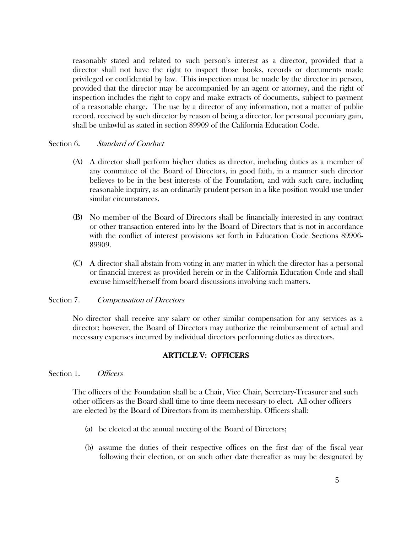reasonably stated and related to such person's interest as a director, provided that a director shall not have the right to inspect those books, records or documents made privileged or confidential by law. This inspection must be made by the director in person, provided that the director may be accompanied by an agent or attorney, and the right of inspection includes the right to copy and make extracts of documents, subject to payment of a reasonable charge. The use by a director of any information, not a matter of public record, received by such director by reason of being a director, for personal pecuniary gain, shall be unlawful as stated in section 89909 of the California Education Code.

## Section 6. Standard of Conduct

- (A) A director shall perform his/her duties as director, including duties as a member of any committee of the Board of Directors, in good faith, in a manner such director believes to be in the best interests of the Foundation, and with such care, including reasonable inquiry, as an ordinarily prudent person in a like position would use under similar circumstances.
- (B) No member of the Board of Directors shall be financially interested in any contract or other transaction entered into by the Board of Directors that is not in accordance with the conflict of interest provisions set forth in Education Code Sections 89906- 89909.
- (C) A director shall abstain from voting in any matter in which the director has a personal or financial interest as provided herein or in the California Education Code and shall excuse himself/herself from board discussions involving such matters.

## Section 7. Compensation of Directors

No director shall receive any salary or other similar compensation for any services as a director; however, the Board of Directors may authorize the reimbursement of actual and necessary expenses incurred by individual directors performing duties as directors.

# ARTICLE V: OFFICERS

Section 1. Officers

The officers of the Foundation shall be a Chair, Vice Chair, Secretary-Treasurer and such other officers as the Board shall time to time deem necessary to elect. All other officers are elected by the Board of Directors from its membership. Officers shall:

- (a) be elected at the annual meeting of the Board of Directors;
- (b) assume the duties of their respective offices on the first day of the fiscal year following their election, or on such other date thereafter as may be designated by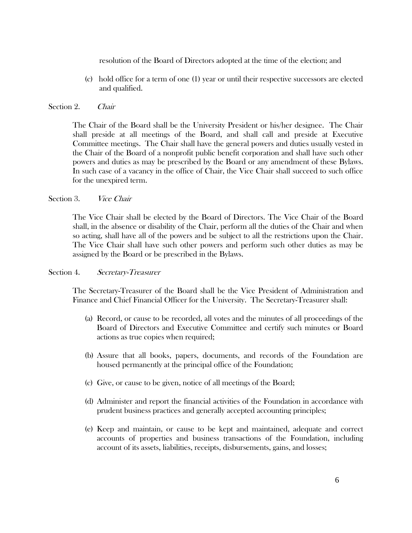resolution of the Board of Directors adopted at the time of the election; and

(c) hold office for a term of one (1) year or until their respective successors are elected and qualified.

# Section 2. Chair

The Chair of the Board shall be the University President or his/her designee. The Chair shall preside at all meetings of the Board, and shall call and preside at Executive Committee meetings. The Chair shall have the general powers and duties usually vested in the Chair of the Board of a nonprofit public benefit corporation and shall have such other powers and duties as may be prescribed by the Board or any amendment of these Bylaws. In such case of a vacancy in the office of Chair, the Vice Chair shall succeed to such office for the unexpired term.

# Section 3. *Vice Chair*

The Vice Chair shall be elected by the Board of Directors. The Vice Chair of the Board shall, in the absence or disability of the Chair, perform all the duties of the Chair and when so acting, shall have all of the powers and be subject to all the restrictions upon the Chair. The Vice Chair shall have such other powers and perform such other duties as may be assigned by the Board or be prescribed in the Bylaws.

## Section 4. Secretary-Treasurer

The Secretary-Treasurer of the Board shall be the Vice President of Administration and Finance and Chief Financial Officer for the University. The Secretary-Treasurer shall:

- (a) Record, or cause to be recorded, all votes and the minutes of all proceedings of the Board of Directors and Executive Committee and certify such minutes or Board actions as true copies when required;
- (b) Assure that all books, papers, documents, and records of the Foundation are housed permanently at the principal office of the Foundation;
- (c) Give, or cause to be given, notice of all meetings of the Board;
- (d) Administer and report the financial activities of the Foundation in accordance with prudent business practices and generally accepted accounting principles;
- (e) Keep and maintain, or cause to be kept and maintained, adequate and correct accounts of properties and business transactions of the Foundation, including account of its assets, liabilities, receipts, disbursements, gains, and losses;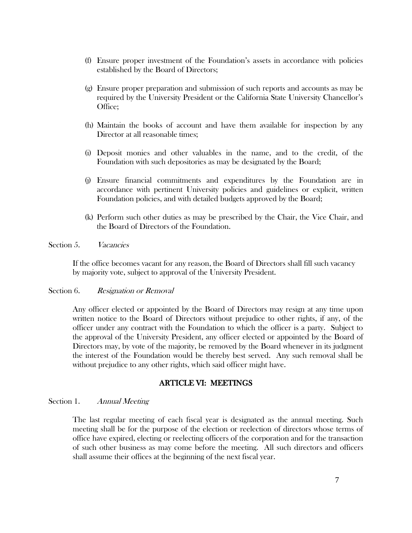- (f) Ensure proper investment of the Foundation's assets in accordance with policies established by the Board of Directors;
- (g) Ensure proper preparation and submission of such reports and accounts as may be required by the University President or the California State University Chancellor's Office;
- (h) Maintain the books of account and have them available for inspection by any Director at all reasonable times;
- (i) Deposit monies and other valuables in the name, and to the credit, of the Foundation with such depositories as may be designated by the Board;
- (j) Ensure financial commitments and expenditures by the Foundation are in accordance with pertinent University policies and guidelines or explicit, written Foundation policies, and with detailed budgets approved by the Board;
- (k) Perform such other duties as may be prescribed by the Chair, the Vice Chair, and the Board of Directors of the Foundation.

Section 5. *Vacancies* 

If the office becomes vacant for any reason, the Board of Directors shall fill such vacancy by majority vote, subject to approval of the University President.

#### Section 6. Resignation or Removal

Any officer elected or appointed by the Board of Directors may resign at any time upon written notice to the Board of Directors without prejudice to other rights, if any, of the officer under any contract with the Foundation to which the officer is a party. Subject to the approval of the University President, any officer elected or appointed by the Board of Directors may, by vote of the majority, be removed by the Board whenever in its judgment the interest of the Foundation would be thereby best served. Any such removal shall be without prejudice to any other rights, which said officer might have.

# ARTICLE VI: MEETINGS

### Section 1. Annual Meeting

The last regular meeting of each fiscal year is designated as the annual meeting. Such meeting shall be for the purpose of the election or reelection of directors whose terms of office have expired, electing or reelecting officers of the corporation and for the transaction of such other business as may come before the meeting. All such directors and officers shall assume their offices at the beginning of the next fiscal year.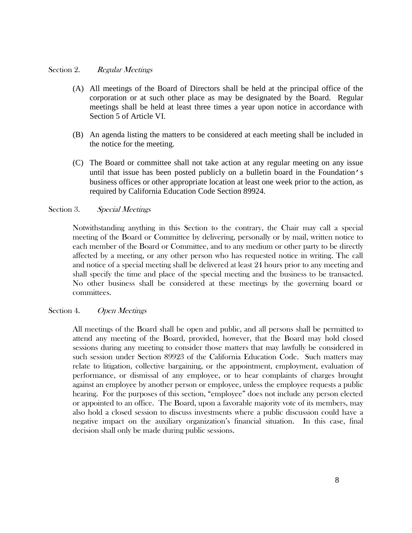# Section 2. Regular Meetings

- (A) All meetings of the Board of Directors shall be held at the principal office of the corporation or at such other place as may be designated by the Board. Regular meetings shall be held at least three times a year upon notice in accordance with Section 5 of Article VI.
- (B) An agenda listing the matters to be considered at each meeting shall be included in the notice for the meeting.
- (C) The Board or committee shall not take action at any regular meeting on any issue until that issue has been posted publicly on a bulletin board in the Foundation's business offices or other appropriate location at least one week prior to the action, as required by California Education Code Section 89924.

# Section 3. Special Meetings

Notwithstanding anything in this Section to the contrary, the Chair may call a special meeting of the Board or Committee by delivering, personally or by mail, written notice to each member of the Board or Committee, and to any medium or other party to be directly affected by a meeting, or any other person who has requested notice in writing. The call and notice of a special meeting shall be delivered at least 24 hours prior to any meeting and shall specify the time and place of the special meeting and the business to be transacted. No other business shall be considered at these meetings by the governing board or committees.

## Section 4. Open Meetings

All meetings of the Board shall be open and public, and all persons shall be permitted to attend any meeting of the Board, provided, however, that the Board may hold closed sessions during any meeting to consider those matters that may lawfully be considered in such session under Section 89923 of the California Education Code. Such matters may relate to litigation, collective bargaining, or the appointment, employment, evaluation of performance, or dismissal of any employee, or to hear complaints of charges brought against an employee by another person or employee, unless the employee requests a public hearing. For the purposes of this section, "employee" does not include any person elected or appointed to an office. The Board, upon a favorable majority vote of its members, may also hold a closed session to discuss investments where a public discussion could have a negative impact on the auxiliary organization's financial situation. In this case, final decision shall only be made during public sessions.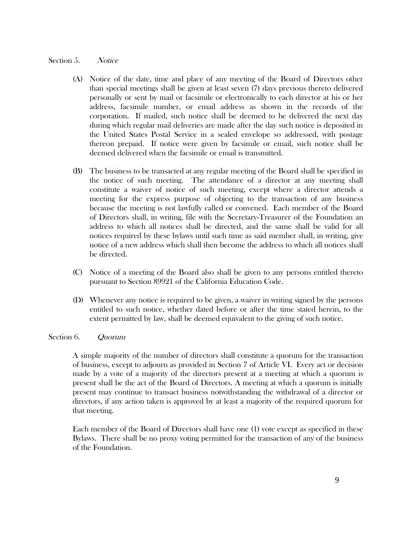# Section 5. Notice

- (A) Notice of the date, time and place of any meeting of the Board of Directors other than special meetings shall be given at least seven (7) days previous thereto delivered personally or sent by mail or facsimile or electronically to each director at his or her address, facsimile number, or email address as shown in the records of the corporation. If mailed, such notice shall be deemed to be delivered the next day during which regular mail deliveries are made after the day such notice is deposited in the United States Postal Service in a sealed envelope so addressed, with postage thereon prepaid. If notice were given by facsimile or email, such notice shall be deemed delivered when the facsimile or email is transmitted.
- (B) The business to be transacted at any regular meeting of the Board shall be specified in the notice of such meeting. The attendance of a director at any meeting shall constitute a waiver of notice of such meeting, except where a director attends a meeting for the express purpose of objecting to the transaction of any business because the meeting is not lawfully called or convened. Each member of the Board of Directors shall, in writing, file with the Secretary-Treasurer of the Foundation an address to which all notices shall be directed, and the same shall be valid for all notices required by these bylaws until such time as said member shall, in writing, give notice of a new address which shall then become the address to which all notices shall be directed.
- (C) Notice of a meeting of the Board also shall be given to any persons entitled thereto pursuant to Section 89921 of the California Education Code.
- (D) Whenever any notice is required to be given, a waiver in writing signed by the persons entitled to such notice, whether dated before or after the time stated herein, to the extent permitted by law, shall be deemed equivalent to the giving of such notice.

## Section 6. Quorum

A simple majority of the number of directors shall constitute a quorum for the transaction of business, except to adjourn as provided in Section 7 of Article VI. Every act or decision made by a vote of a majority of the directors present at a meeting at which a quorum is present shall be the act of the Board of Directors. A meeting at which a quorum is initially present may continue to transact business notwithstanding the withdrawal of a director or directors, if any action taken is approved by at least a majority of the required quorum for that meeting.

Each member of the Board of Directors shall have one (1) vote except as specified in these Bylaws. There shall be no proxy voting permitted for the transaction of any of the business of the Foundation.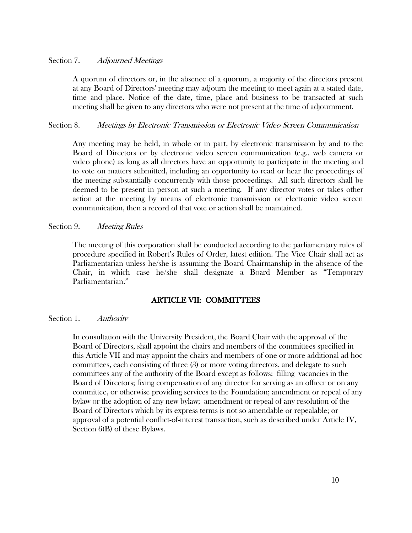# Section 7. Adjourned Meetings

A quorum of directors or, in the absence of a quorum, a majority of the directors present at any Board of Directors' meeting may adjourn the meeting to meet again at a stated date, time and place. Notice of the date, time, place and business to be transacted at such meeting shall be given to any directors who were not present at the time of adjournment.

#### Section 8. Meetings by Electronic Transmission or Electronic Video Screen Communication

Any meeting may be held, in whole or in part, by electronic transmission by and to the Board of Directors or by electronic video screen communication (e.g., web camera or video phone) as long as all directors have an opportunity to participate in the meeting and to vote on matters submitted, including an opportunity to read or hear the proceedings of the meeting substantially concurrently with those proceedings. All such directors shall be deemed to be present in person at such a meeting. If any director votes or takes other action at the meeting by means of electronic transmission or electronic video screen communication, then a record of that vote or action shall be maintained.

#### Section 9. Meeting Rules

The meeting of this corporation shall be conducted according to the parliamentary rules of procedure specified in Robert's Rules of Order, latest edition. The Vice Chair shall act as Parliamentarian unless he/she is assuming the Board Chairmanship in the absence of the Chair, in which case he/she shall designate a Board Member as "Temporary Parliamentarian."

# ARTICLE VII: COMMITTEES

## Section 1. Authority

In consultation with the University President, the Board Chair with the approval of the Board of Directors, shall appoint the chairs and members of the committees specified in this Article VII and may appoint the chairs and members of one or more additional ad hoc committees, each consisting of three (3) or more voting directors, and delegate to such committees any of the authority of the Board except as follows: filling vacancies in the Board of Directors; fixing compensation of any director for serving as an officer or on any committee, or otherwise providing services to the Foundation; amendment or repeal of any bylaw or the adoption of any new bylaw; amendment or repeal of any resolution of the Board of Directors which by its express terms is not so amendable or repealable; or approval of a potential conflict-of-interest transaction, such as described under Article IV, Section 6(B) of these Bylaws.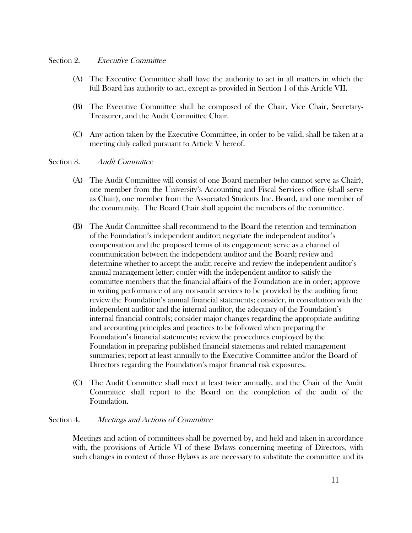## Section 2. Executive Committee

- (A) The Executive Committee shall have the authority to act in all matters in which the full Board has authority to act, except as provided in Section 1 of this Article VII.
- (B) The Executive Committee shall be composed of the Chair, Vice Chair, Secretary-Treasurer, and the Audit Committee Chair.
- (C) Any action taken by the Executive Committee, in order to be valid, shall be taken at a meeting duly called pursuant to Article V hereof.

#### Section 3. Audit Committee

- (A) The Audit Committee will consist of one Board member (who cannot serve as Chair), one member from the University's Accounting and Fiscal Services office (shall serve as Chair), one member from the Associated Students Inc. Board, and one member of the community. The Board Chair shall appoint the members of the committee.
- (B) The Audit Committee shall recommend to the Board the retention and termination of the Foundation's independent auditor; negotiate the independent auditor's compensation and the proposed terms of its engagement; serve as a channel of communication between the independent auditor and the Board; review and determine whether to accept the audit; receive and review the independent auditor's annual management letter; confer with the independent auditor to satisfy the committee members that the financial affairs of the Foundation are in order; approve in writing performance of any non-audit services to be provided by the auditing firm; review the Foundation's annual financial statements; consider, in consultation with the independent auditor and the internal auditor, the adequacy of the Foundation's internal financial controls; consider major changes regarding the appropriate auditing and accounting principles and practices to be followed when preparing the Foundation's financial statements; review the procedures employed by the Foundation in preparing published financial statements and related management summaries; report at least annually to the Executive Committee and/or the Board of Directors regarding the Foundation's major financial risk exposures.
- (C) The Audit Committee shall meet at least twice annually, and the Chair of the Audit Committee shall report to the Board on the completion of the audit of the Foundation.

## Section 4. Meetings and Actions of Committee

Meetings and action of committees shall be governed by, and held and taken in accordance with, the provisions of Article VI of these Bylaws concerning meeting of Directors, with such changes in context of those Bylaws as are necessary to substitute the committee and its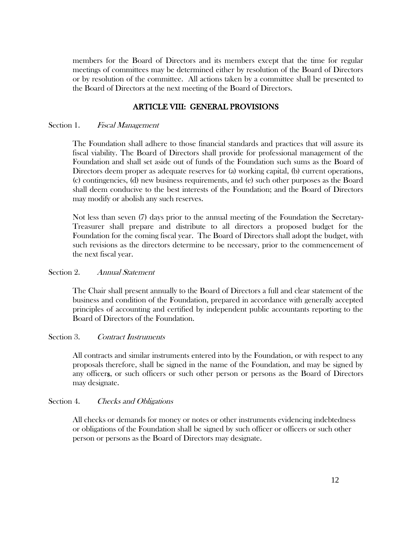members for the Board of Directors and its members except that the time for regular meetings of committees may be determined either by resolution of the Board of Directors or by resolution of the committee. All actions taken by a committee shall be presented to the Board of Directors at the next meeting of the Board of Directors.

# ARTICLE VIII: GENERAL PROVISIONS

# Section 1. Fiscal Management

The Foundation shall adhere to those financial standards and practices that will assure its fiscal viability. The Board of Directors shall provide for professional management of the Foundation and shall set aside out of funds of the Foundation such sums as the Board of Directors deem proper as adequate reserves for (a) working capital, (b) current operations, (c) contingencies, (d) new business requirements, and (e) such other purposes as the Board shall deem conducive to the best interests of the Foundation; and the Board of Directors may modify or abolish any such reserves.

Not less than seven (7) days prior to the annual meeting of the Foundation the Secretary-Treasurer shall prepare and distribute to all directors a proposed budget for the Foundation for the coming fiscal year. The Board of Directors shall adopt the budget, with such revisions as the directors determine to be necessary, prior to the commencement of the next fiscal year.

## Section 2. Annual Statement

The Chair shall present annually to the Board of Directors a full and clear statement of the business and condition of the Foundation, prepared in accordance with generally accepted principles of accounting and certified by independent public accountants reporting to the Board of Directors of the Foundation.

## Section 3. Contract Instruments

All contracts and similar instruments entered into by the Foundation, or with respect to any proposals therefore, shall be signed in the name of the Foundation, and may be signed by any officers, or such officers or such other person or persons as the Board of Directors may designate.

## Section 4. Checks and Obligations

All checks or demands for money or notes or other instruments evidencing indebtedness or obligations of the Foundation shall be signed by such officer or officers or such other person or persons as the Board of Directors may designate.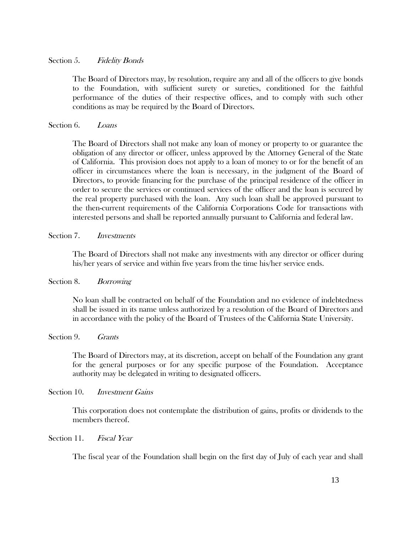# Section 5. Fidelity Bonds

The Board of Directors may, by resolution, require any and all of the officers to give bonds to the Foundation, with sufficient surety or sureties, conditioned for the faithful performance of the duties of their respective offices, and to comply with such other conditions as may be required by the Board of Directors.

Section 6. Loans

The Board of Directors shall not make any loan of money or property to or guarantee the obligation of any director or officer, unless approved by the Attorney General of the State of California. This provision does not apply to a loan of money to or for the benefit of an officer in circumstances where the loan is necessary, in the judgment of the Board of Directors, to provide financing for the purchase of the principal residence of the officer in order to secure the services or continued services of the officer and the loan is secured by the real property purchased with the loan. Any such loan shall be approved pursuant to the then-current requirements of the California Corporations Code for transactions with interested persons and shall be reported annually pursuant to California and federal law.

Section 7. *Investments* 

The Board of Directors shall not make any investments with any director or officer during his/her years of service and within five years from the time his/her service ends.

Section 8. Borrowing

No loan shall be contracted on behalf of the Foundation and no evidence of indebtedness shall be issued in its name unless authorized by a resolution of the Board of Directors and in accordance with the policy of the Board of Trustees of the California State University.

Section 9. Grants

The Board of Directors may, at its discretion, accept on behalf of the Foundation any grant for the general purposes or for any specific purpose of the Foundation. Acceptance authority may be delegated in writing to designated officers.

Section 10. *Investment Gains* 

This corporation does not contemplate the distribution of gains, profits or dividends to the members thereof.

Section 11. Fiscal Year

The fiscal year of the Foundation shall begin on the first day of July of each year and shall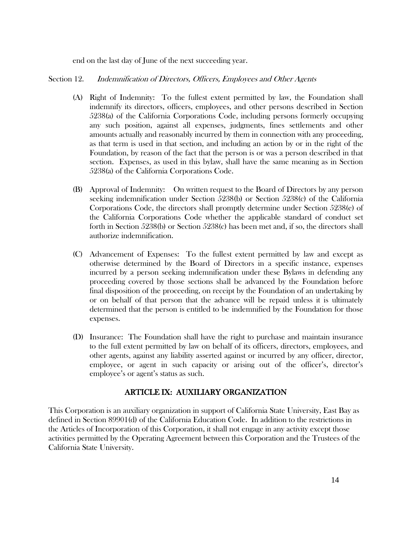end on the last day of June of the next succeeding year.

# Section 12. Indemnification of Directors, Officers, Employees and Other Agents

- (A) Right of Indemnity: To the fullest extent permitted by law, the Foundation shall indemnify its directors, officers, employees, and other persons described in Section 5238(a) of the California Corporations Code, including persons formerly occupying any such position, against all expenses, judgments, fines settlements and other amounts actually and reasonably incurred by them in connection with any proceeding, as that term is used in that section, and including an action by or in the right of the Foundation, by reason of the fact that the person is or was a person described in that section. Expenses, as used in this bylaw, shall have the same meaning as in Section 5238(a) of the California Corporations Code.
- (B) Approval of Indemnity: On written request to the Board of Directors by any person seeking indemnification under Section 5238(b) or Section 5238(c) of the California Corporations Code, the directors shall promptly determine under Section 5238(e) of the California Corporations Code whether the applicable standard of conduct set forth in Section 5238(b) or Section 5238(c) has been met and, if so, the directors shall authorize indemnification.
- (C) Advancement of Expenses: To the fullest extent permitted by law and except as otherwise determined by the Board of Directors in a specific instance, expenses incurred by a person seeking indemnification under these Bylaws in defending any proceeding covered by those sections shall be advanced by the Foundation before final disposition of the proceeding, on receipt by the Foundation of an undertaking by or on behalf of that person that the advance will be repaid unless it is ultimately determined that the person is entitled to be indemnified by the Foundation for those expenses.
- (D) Insurance: The Foundation shall have the right to purchase and maintain insurance to the full extent permitted by law on behalf of its officers, directors, employees, and other agents, against any liability asserted against or incurred by any officer, director, employee, or agent in such capacity or arising out of the officer's, director's employee's or agent's status as such.

# ARTICLE IX: AUXILIARY ORGANIZATION

This Corporation is an auxiliary organization in support of California State University, East Bay as defined in Section 89901(d) of the California Education Code. In addition to the restrictions in the Articles of Incorporation of this Corporation, it shall not engage in any activity except those activities permitted by the Operating Agreement between this Corporation and the Trustees of the California State University.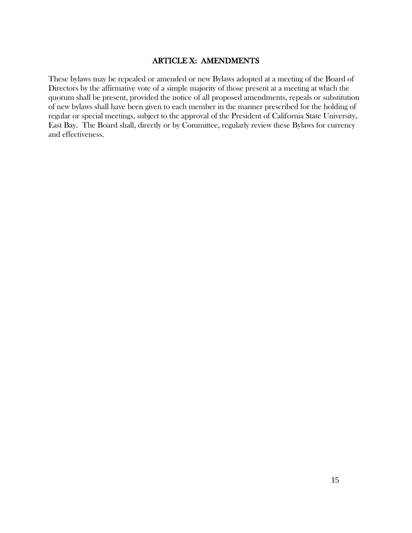# ARTICLE X: AMENDMENTS

These bylaws may be repealed or amended or new Bylaws adopted at a meeting of the Board of Directors by the affirmative vote of a simple majority of those present at a meeting at which the quorum shall be present, provided the notice of all proposed amendments, repeals or substitution of new bylaws shall have been given to each member in the manner prescribed for the holding of regular or special meetings, subject to the approval of the President of California State University, East Bay. The Board shall, directly or by Committee, regularly review these Bylaws for currency and effectiveness.